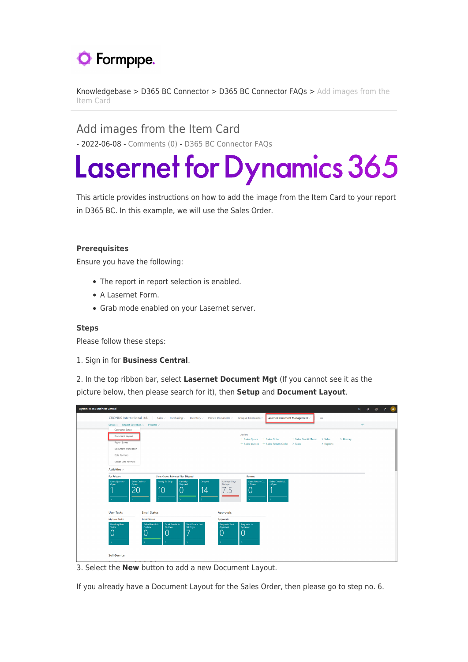## **O** Formpipe.

[Knowledgebase](https://support.formpipe.com/kb) > [D365 BC Connector](https://support.formpipe.com/kb/d365-bc-connector) > [D365 BC Connector FAQs](https://support.formpipe.com/kb/d365-bc-connector-faqs) > [Add images from the](https://support.formpipe.com/kb/articles/add-images-from-the-item-card) [Item Card](https://support.formpipe.com/kb/articles/add-images-from-the-item-card)

Add images from the Item Card - 2022-06-08 - [Comments \(0\)](#page--1-0) - [D365 BC Connector FAQs](https://support.formpipe.com/kb/d365-bc-connector-faqs)

## **Lasernet for Dynamics 365**

This article provides instructions on how to add the image from the Item Card to your report in D365 BC. In this example, we will use the Sales Order.

## **Prerequisites**

Ensure you have the following:

- The report in report selection is enabled.
- A Lasernet Form.
- Grab mode enabled on your Lasernet server.

## **Steps**

Please follow these steps:

1. Sign in for **Business Central**.

2. In the top ribbon bar, select **Lasernet Document Mgt** (If you cannot see it as the picture below, then please search for it), then **Setup** and **Document Layout**.

| <b>Dynamics 365 Business Central</b> |                                                         |                                                                                                    |                                                                  |                                  |         |                           |                               |                                                               |                             |           |           |    | $\begin{array}{ccccccccccccccccc}\n\multicolumn{4}{c }{\textbf{Q}} & \multicolumn{4}{c }{\textbf{Q}} & \multicolumn{4}{c }{\textbf{Q}} & \multicolumn{4}{c }{\textbf{Q}} & \multicolumn{4}{c }{\textbf{Q}} & \multicolumn{4}{c }{\textbf{Q}} & \multicolumn{4}{c }{\textbf{Q}} & \multicolumn{4}{c }{\textbf{Q}} & \multicolumn{4}{c }{\textbf{Q}} & \multicolumn{4}{c }{\textbf{Q}} & \multicolumn{4}{c }{\textbf{Q}} & \multicolumn{4}{c }{\textbf{Q}} & \multicolumn$ | $\overline{A}$ |
|--------------------------------------|---------------------------------------------------------|----------------------------------------------------------------------------------------------------|------------------------------------------------------------------|----------------------------------|---------|---------------------------|-------------------------------|---------------------------------------------------------------|-----------------------------|-----------|-----------|----|--------------------------------------------------------------------------------------------------------------------------------------------------------------------------------------------------------------------------------------------------------------------------------------------------------------------------------------------------------------------------------------------------------------------------------------------------------------------------|----------------|
|                                      |                                                         | CRONUS International Ltd.   Sales v Purchasing v Inventory v Posted Documents v Setup & Extensions |                                                                  |                                  |         |                           |                               | Lasernet Document Management                                  |                             | $\equiv$  |           |    |                                                                                                                                                                                                                                                                                                                                                                                                                                                                          |                |
|                                      | Connector Setup                                         | Setup $\vee$ Report Selection $\vee$ Printers $\vee$                                               |                                                                  |                                  |         |                           |                               |                                                               |                             |           |           | 44 |                                                                                                                                                                                                                                                                                                                                                                                                                                                                          |                |
|                                      | Document Layout<br>Report Setup<br>Document Translation |                                                                                                    |                                                                  |                                  |         |                           | Actions<br>+ Sales Quote      | + Sales Order<br>+ Sales Invoice + Sales Return Order > Tasks | + Sales Credit Memo > Sales | > Reports | > History |    |                                                                                                                                                                                                                                                                                                                                                                                                                                                                          |                |
|                                      | Data Formats<br>Usage Data Formats                      |                                                                                                    |                                                                  |                                  |         |                           |                               |                                                               |                             |           |           |    |                                                                                                                                                                                                                                                                                                                                                                                                                                                                          |                |
|                                      | Activities $\smallsmile$                                |                                                                                                    |                                                                  |                                  |         |                           |                               |                                                               |                             |           |           |    |                                                                                                                                                                                                                                                                                                                                                                                                                                                                          |                |
|                                      | <b>For Release</b><br>Sales Quotes -                    | Sales Orders -                                                                                     | <b>Sales Orders Released Not Shipped</b><br><b>Ready To Ship</b> | Partially                        | Delayed | Average Days              | Returns<br>Sales Return O.,   | Sales Credit M.                                               |                             |           |           |    |                                                                                                                                                                                                                                                                                                                                                                                                                                                                          |                |
|                                      | Open                                                    | Open<br>20                                                                                         | 10                                                               | Shipped                          | 14      | Delayed<br>7.5            | Open<br>C                     | Open                                                          |                             |           |           |    |                                                                                                                                                                                                                                                                                                                                                                                                                                                                          |                |
|                                      | <b>User Tasks</b>                                       | <b>Email Status</b>                                                                                |                                                                  |                                  |         | <b>Approvals</b>          |                               |                                                               |                             |           |           |    |                                                                                                                                                                                                                                                                                                                                                                                                                                                                          |                |
|                                      | My User Tasks                                           | <b>Email Status</b>                                                                                |                                                                  |                                  |         | Approvals                 |                               |                                                               |                             |           |           |    |                                                                                                                                                                                                                                                                                                                                                                                                                                                                          |                |
|                                      | <b>Pending User</b><br>Tasks                            | <b>Failed Emails in</b><br>Outbox                                                                  | <b>Draft Emails in</b><br>Outbox                                 | Sent Emails Last<br>30 Days<br>7 |         | Requests Sent<br>Approval | <b>Requests to</b><br>Approve |                                                               |                             |           |           |    |                                                                                                                                                                                                                                                                                                                                                                                                                                                                          |                |
|                                      | Self-Service                                            |                                                                                                    |                                                                  |                                  |         |                           |                               |                                                               |                             |           |           |    |                                                                                                                                                                                                                                                                                                                                                                                                                                                                          |                |
|                                      | $\sim$                                                  |                                                                                                    |                                                                  |                                  |         |                           |                               |                                                               |                             |           |           |    |                                                                                                                                                                                                                                                                                                                                                                                                                                                                          |                |

3. Select the **New** button to add a new Document Layout.

If you already have a Document Layout for the Sales Order, then please go to step no. 6.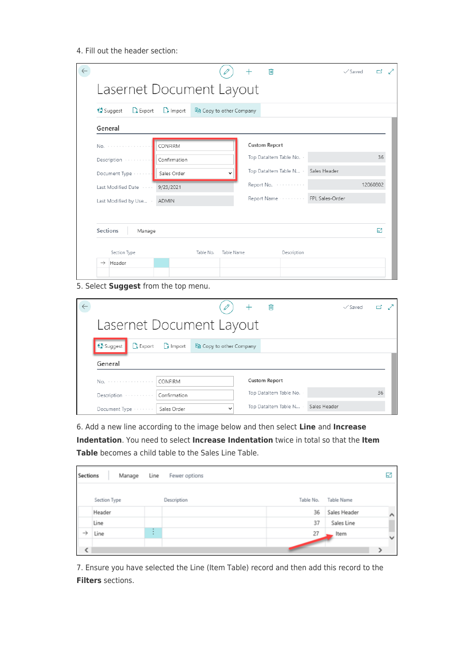4. Fill out the header section:

| <b>© Suggest</b><br><b>Export</b> | $\rightarrow$ Import | la Copy to other Company |  |                          |                              |          |
|-----------------------------------|----------------------|--------------------------|--|--------------------------|------------------------------|----------|
| General                           |                      |                          |  |                          |                              |          |
| No.                               | CONFIRM              |                          |  | <b>Custom Report</b>     |                              |          |
| Description                       | Confirmation         |                          |  | Top Dataltem Table No. - |                              | 36       |
| Document Type                     | Sales Order          |                          |  | Top Dataltem Table N .   | Sales Header                 |          |
| Last Modified Date                | 9/23/2021            |                          |  | Report No.               |                              | 12060802 |
| Last Modified by Use              | ADMIN                |                          |  |                          | Report Name  FPL Sales-Order |          |
|                                   |                      |                          |  |                          |                              |          |
| Sections<br>Manage                |                      |                          |  |                          |                              | 64       |

5. Select **Suggest** from the top menu.

|                                   |                      |                          | 侕                        | $\checkmark$ Saved | гł |  |
|-----------------------------------|----------------------|--------------------------|--------------------------|--------------------|----|--|
| Lasernet Document Layout          |                      |                          |                          |                    |    |  |
| <b>《</b> Suggest<br><b>Export</b> | $\frac{1}{2}$ Import | he Copy to other Company |                          |                    |    |  |
|                                   |                      |                          |                          |                    |    |  |
| General                           |                      |                          |                          |                    |    |  |
| No.                               | CONFIRM              |                          | <b>Custom Report</b>     |                    |    |  |
| Description                       | Confirmation         |                          | Top Dataltem Table No. - |                    | 36 |  |

6. Add a new line according to the image below and then select **Line** and **Increase Indentation**. You need to select **Increase Indentation** twice in total so that the **Item Table** becomes a child table to the Sales Line Table.

| Sections      | Manage       | Line        | Fewer options |           |              | R            |
|---------------|--------------|-------------|---------------|-----------|--------------|--------------|
|               | Section Type |             | Description   | Table No. | Table Name   |              |
|               | Header       |             |               | 36        | Sales Header | ́            |
|               | Line         |             |               | 37        | Sales Line   |              |
| $\rightarrow$ | Line         | ٠<br>٠<br>٠ |               | 27        | Item         | $\checkmark$ |
| <             |              |             |               |           |              |              |

7. Ensure you have selected the Line (Item Table) record and then add this record to the **Filters** sections.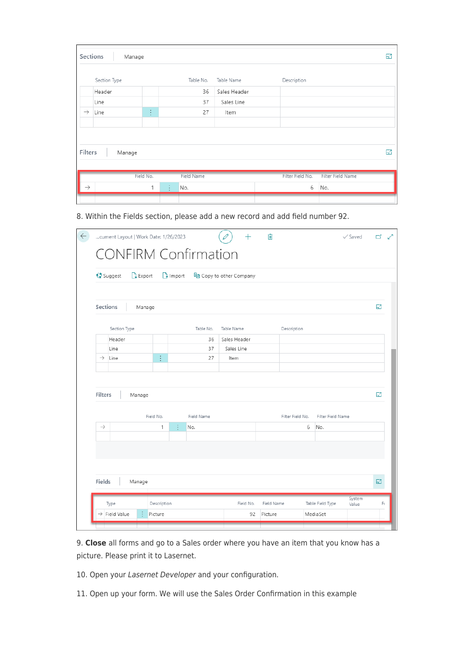| Sections      | Manage       |           |   |            |              |                  |                   | 64 |
|---------------|--------------|-----------|---|------------|--------------|------------------|-------------------|----|
|               | Section Type |           |   | Table No.  | Table Name   | Description      |                   |    |
|               | Header       |           |   | 36         | Sales Header |                  |                   |    |
|               | Line         |           |   | 37         | Sales Line   |                  |                   |    |
| $\rightarrow$ | Line         | ŧ,        |   | 27         | Item         |                  |                   |    |
|               |              |           |   |            |              |                  |                   |    |
|               |              |           |   |            |              |                  |                   |    |
| Filters       | Manage       |           |   |            |              |                  |                   | 囨  |
|               |              | Field No. |   | Field Name |              | Filter Field No. | Filter Field Name |    |
| $\rightarrow$ |              | 1         | ÷ | No.        |              | 6                | No.               |    |
|               |              |           |   |            |              |                  |                   |    |

8. Within the Fields section, please add a new record and add field number 92.

|               | <b>《Suggest</b><br>$\mathbb{R}$ Export |           | $\Gamma$ Import |            | la Copy to other Company |                  |                   |    |
|---------------|----------------------------------------|-----------|-----------------|------------|--------------------------|------------------|-------------------|----|
|               | Sections                               | Manage    |                 |            |                          |                  |                   | 64 |
|               | Section Type                           |           |                 | Table No.  | Table Name               | Description      |                   |    |
|               | Header                                 |           |                 | 36         | Sales Header             |                  |                   |    |
|               | Line                                   |           |                 | 37         | Sales Line               |                  |                   |    |
| $\rightarrow$ | Line                                   | ŧ.        |                 | 27         | Item                     |                  |                   |    |
| Filters       | Manage                                 |           |                 |            |                          |                  |                   | 64 |
|               |                                        | Field No. |                 | Field Name |                          | Filter Field No. | Filter Field Name |    |
| $\rightarrow$ |                                        | 1         | ÷               | No.        |                          | 6                | No.               |    |
|               |                                        |           |                 |            |                          |                  |                   |    |

9. **Close** all forms and go to a Sales order where you have an item that you know has a picture. Please print it to Lasernet.

- 10. Open your Lasernet Developer and your configuration.
- 11. Open up your form. We will use the Sales Order Confirmation in this example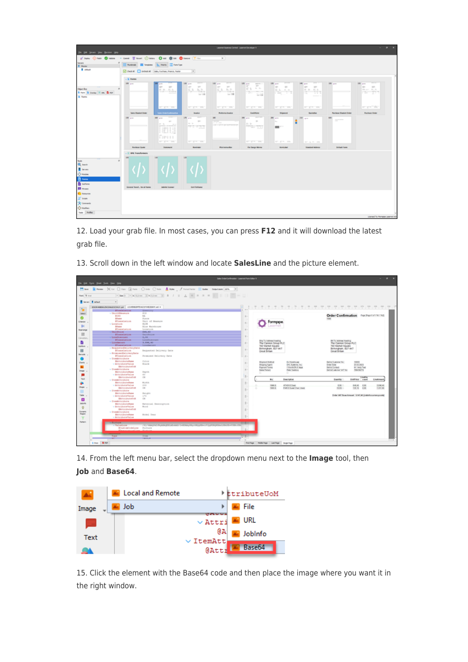| Die Dit Seven View Beisien 1949                                |                                            |                                                                                                                                                                                                     |                                                                             | Learnet business Central - Learnet Developer 9      |                                                  |                                                                 |                                                                 |                                 |                                                                               | $\mathcal{A} = \mathcal{A} \mathcal{A} \mathcal{A} \mathcal{A}$ |
|----------------------------------------------------------------|--------------------------------------------|-----------------------------------------------------------------------------------------------------------------------------------------------------------------------------------------------------|-----------------------------------------------------------------------------|-----------------------------------------------------|--------------------------------------------------|-----------------------------------------------------------------|-----------------------------------------------------------------|---------------------------------|-------------------------------------------------------------------------------|-----------------------------------------------------------------|
| of both Onen Oraton - Greet Theat Oraton OAH DESK Oracon Trion |                                            |                                                                                                                                                                                                     |                                                                             | $\times$                                            |                                                  |                                                                 |                                                                 |                                 |                                                                               |                                                                 |
| Seven.<br><b>B</b> Moder                                       | Pueblak III fergives & Party III ForeTune  |                                                                                                                                                                                                     |                                                                             |                                                     |                                                  |                                                                 |                                                                 |                                 |                                                                               |                                                                 |
| <b>B</b> cataot                                                | Oak # District Sex Further, Francis Faster |                                                                                                                                                                                                     | $\overline{\mathbb{E}}$                                                     |                                                     |                                                  |                                                                 |                                                                 |                                 |                                                                               |                                                                 |
|                                                                | - it forms                                 |                                                                                                                                                                                                     |                                                                             |                                                     |                                                  |                                                                 |                                                                 |                                 |                                                                               |                                                                 |
|                                                                | <b>MR</b> +-                               | $n =$<br>u.<br><b>SERVICE</b>                                                                                                                                                                       | <b>COLLEGE</b><br><b>100 pm</b><br><b>Contract Contract</b><br><b>STATE</b> | <b>START</b><br>$101 - 10$<br>the party of the con- | 100 per content<br><b>CONTRACTOR</b>             | <b>STERN</b><br>130 pm<br>$\sim$<br>$-$                         | <b>TELEVISION</b><br>340 pm<br><b>Contract</b><br><b>SERV</b>   | 1981 p.m.                       | <b>The Contract</b><br>$100 - 100$<br><b>Contract Contract</b><br><b>COLL</b> |                                                                 |
| Object Box<br>Room & Gunter Street Broom                       |                                            | $\frac{\partial}{\partial x} \cdot \frac{\partial}{\partial y} = \frac{\partial}{\partial y} \cdot \frac{\partial}{\partial x} \cdot \frac{\partial}{\partial y} \cdot \frac{\partial}{\partial y}$ | K, K, K, K, K                                                               | $5.1 - 5.2$                                         | 武士 たか                                            | $\frac{1}{2} \sum_{i=1}^n \frac{1}{2} \sum_{j=1}^n \frac{1}{2}$ | $10^{\circ}$ 20 $-$ 31, 51<br><b>Contract Contract Contract</b> |                                 | and part of the Mic<br><b>Changer</b>                                         |                                                                 |
| <b>B</b> Farms                                                 |                                            |                                                                                                                                                                                                     | <b>SAN DE</b>                                                               | $-18$                                               | The Calif                                        |                                                                 |                                                                 |                                 |                                                                               |                                                                 |
|                                                                |                                            |                                                                                                                                                                                                     |                                                                             |                                                     |                                                  |                                                                 |                                                                 |                                 |                                                                               |                                                                 |
|                                                                |                                            | <b>REPORT FOR</b>                                                                                                                                                                                   | <b>Service State</b>                                                        | <b>STATISTICS</b>                                   | <b>CONTRACTOR</b>                                | <b>CONTRACTOR</b>                                               | <b>CONTRACTOR</b>                                               |                                 | an profit del                                                                 |                                                                 |
|                                                                | <b>Sales Blacket Order</b>                 | <b>Sales Crokel collected</b><br>$\frac{1}{2} \left( \frac{1}{2} \right) \left( \frac{1}{2} \right) \left( \frac{1}{2} \right)$                                                                     | <b>Invoice</b><br><b>The Contract</b><br>100 pm                             | Proforma leusine<br>m                               | Gestiman<br><b>CONTRACTOR</b><br><b>INC.</b> 4-4 | Shipment                                                        | Gustation                                                       | <b>Parcharan Blaskert Codes</b> | <b>Punikase Doler</b>                                                         |                                                                 |
|                                                                | 100 pm                                     | <b>200</b> p.m.<br>$\sim$                                                                                                                                                                           | $\mathcal{L}^{\text{max}}$<br>and the                                       | <b>College</b>                                      | $\sim$<br><b>Big Street</b>                      | 200 pm<br><b>State</b>                                          | 20 40                                                           | 400<br>$\overline{\phantom{a}}$ |                                                                               |                                                                 |
|                                                                |                                            | $\frac{P}{\mu}$ . As a second of<br>$  \cdot   $                                                                                                                                                    | <b>PERSONA</b>                                                              | and the process and a process of the                | 772.733                                          | <b>STATISTICS</b>                                               |                                                                 |                                 |                                                                               |                                                                 |
|                                                                |                                            |                                                                                                                                                                                                     |                                                                             |                                                     |                                                  |                                                                 |                                                                 |                                 |                                                                               |                                                                 |
|                                                                |                                            | <b>Denn</b><br><b>STATISTICS</b>                                                                                                                                                                    | <b>I service that</b>                                                       |                                                     | <b>All Area and a</b>                            | are great and                                                   | AT A.M. AN                                                      |                                 |                                                                               |                                                                 |
|                                                                | <b>Purchase County</b>                     | <b>Statement</b>                                                                                                                                                                                    | <b>Reminder</b>                                                             | <b>Pick instruction</b>                             | <b>File Charge Minma</b>                         | <b>Remiumed</b>                                                 | <b>Standard Address</b>                                         | Default Farm                    |                                                                               |                                                                 |
|                                                                | - 10% Transformers                         |                                                                                                                                                                                                     |                                                                             |                                                     |                                                  |                                                                 |                                                                 |                                 |                                                                               |                                                                 |
| Tools:                                                         |                                            | THE <sup>2</sup>                                                                                                                                                                                    | <b>DO</b>                                                                   |                                                     |                                                  |                                                                 |                                                                 |                                 |                                                                               |                                                                 |
| Q seen                                                         |                                            |                                                                                                                                                                                                     |                                                                             |                                                     |                                                  |                                                                 |                                                                 |                                 |                                                                               |                                                                 |
| <b>B</b> Seven<br><b>Consum</b>                                |                                            |                                                                                                                                                                                                     |                                                                             |                                                     |                                                  |                                                                 |                                                                 |                                 |                                                                               |                                                                 |
| <b>D</b> remo                                                  |                                            |                                                                                                                                                                                                     |                                                                             |                                                     |                                                  |                                                                 |                                                                 |                                 |                                                                               |                                                                 |
| <b>D</b> <i>helm</i> s                                         |                                            |                                                                                                                                                                                                     |                                                                             |                                                     |                                                  |                                                                 |                                                                 |                                 |                                                                               |                                                                 |
| El man                                                         | Ground Send., for all home                 | <b>Indebto Scanner</b>                                                                                                                                                                              | <b>Gri History</b>                                                          |                                                     |                                                  |                                                                 |                                                                 |                                 |                                                                               |                                                                 |
| <b>C.</b> Emburies<br>3 <sup>7</sup> loss                      |                                            |                                                                                                                                                                                                     |                                                                             |                                                     |                                                  |                                                                 |                                                                 |                                 |                                                                               |                                                                 |
| Se Greenis                                                     |                                            |                                                                                                                                                                                                     |                                                                             |                                                     |                                                  |                                                                 |                                                                 |                                 |                                                                               |                                                                 |
| <b>Constant</b>                                                |                                            |                                                                                                                                                                                                     |                                                                             |                                                     |                                                  |                                                                 |                                                                 |                                 |                                                                               |                                                                 |
| <b>Took Poller</b>                                             |                                            |                                                                                                                                                                                                     |                                                                             |                                                     |                                                  |                                                                 |                                                                 |                                 | Loansed To: Perryson Leoemet A/S                                              |                                                                 |

12. Load your grab file. In most cases, you can press **F12** and it will download the latest grab file.

13. Scroll down in the left window and locate **SalesLine** and the picture element.



14. From the left menu bar, select the dropdown menu next to the **Image** tool, then **Job** and **Base64**.



15. Click the element with the Base64 code and then place the image where you want it in the right window.